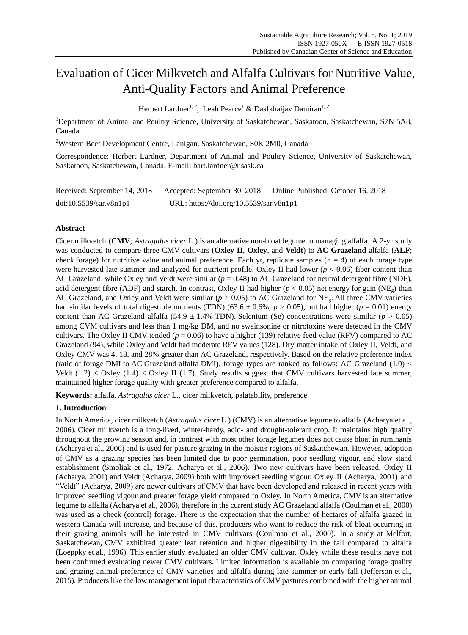# Evaluation of Cicer Milkvetch and Alfalfa Cultivars for Nutritive Value, Anti-Quality Factors and Animal Preference

Herbert Lardner<sup>1, 2</sup>, Leah Pearce<sup>1</sup> & Daalkhaijav Damiran<sup>1, 2</sup>

<sup>1</sup>Department of Animal and Poultry Science, University of Saskatchewan, Saskatoon, Saskatchewan, S7N 5A8, Canada

<sup>2</sup>Western Beef Development Centre, Lanigan, Saskatchewan, S0K 2M0, Canada

Correspondence: Herbert Lardner, Department of Animal and Poultry Science, University of Saskatchewan, Saskatoon, Saskatchewan, Canada. E-mail: bart.lardner@usask.ca

| Received: September 14, 2018 | Accepted: September 30, 2018            | Online Published: October 16, 2018 |  |  |  |
|------------------------------|-----------------------------------------|------------------------------------|--|--|--|
| doi:10.5539/sar.v8n1p1       | URL: https://doi.org/10.5539/sar.v8n1p1 |                                    |  |  |  |

## **Abstract**

Cicer milkvetch (**CMV**; *Astragalus cicer* L.) is an alternative non-bloat legume to managing alfalfa. A 2-yr study was conducted to compare three CMV cultivars (**Oxley II**, **Oxley**, and **Veldt**) to **AC Grazeland** alfalfa (**ALF**; check forage) for nutritive value and animal preference. Each yr, replicate samples ( $n = 4$ ) of each forage type were harvested late summer and analyzed for nutrient profile. Oxley II had lower  $(p < 0.05)$  fiber content than AC Grazeland, while Oxley and Veldt were similar (*p* = 0.48) to AC Grazeland for neutral detergent fibre (NDF), acid detergent fibre (ADF) and starch. In contrast, Oxley II had higher ( $p < 0.05$ ) net energy for gain (NE<sub>g</sub>) than AC Grazeland, and Oxley and Veldt were similar ( $p > 0.05$ ) to AC Grazeland for NE<sub>g</sub>. All three CMV varieties had similar levels of total digestible nutrients (TDN) (63.6  $\pm$  0.6%; *p* > 0.05), but had higher (*p* = 0.01) energy content than AC Grazeland alfalfa (54.9  $\pm$  1.4% TDN). Selenium (Se) concentrations were similar ( $p > 0.05$ ) among CVM cultivars and less than 1 mg/kg DM, and no swainsonine or nitrotoxins were detected in the CMV cultivars. The Oxley II CMV tended  $(p = 0.06)$  to have a higher (139) relative feed value (RFV) compared to AC Grazeland (94), while Oxley and Veldt had moderate RFV values (128). Dry matter intake of Oxley II, Veldt, and Oxley CMV was 4, 18, and 28% greater than AC Grazeland, respectively. Based on the relative preference index (ratio of forage DMI to AC Grazeland alfalfa DMI), forage types are ranked as follows: AC Grazeland (1.0) < Veldt  $(1.2) <$  Oxley  $(1.4) <$  Oxley II  $(1.7)$ . Study results suggest that CMV cultivars harvested late summer, maintained higher forage quality with greater preference compared to alfalfa.

**Keywords:** alfalfa, *Astragalus cicer* L., cicer milkvetch, palatability, preference

# **1. Introduction**

In North America, cicer milkvetch (*Astragalus cicer* L.) (CMV) is an alternative legume to alfalfa (Acharya et al., 2006). Cicer milkvetch is a long-lived, winter-hardy, acid- and drought-tolerant crop. It maintains high quality throughout the growing season and, in contrast with most other forage legumes does not cause bloat in ruminants (Acharya et al., 2006) and is used for pasture grazing in the moister regions of Saskatchewan. However, adoption of CMV as a grazing species has been limited due to poor germination, poor seedling vigour, and slow stand establishment (Smoliak et al., 1972; Acharya et al., 2006). Two new cultivars have been released, Oxley II (Acharya, 2001) and Veldt (Acharya, 2009) both with improved seedling vigour. Oxley II (Acharya, 2001) and "Veldt" (Acharya, 2009) are newer cultivars of CMV that have been developed and released in recent years with improved seedling vigour and greater forage yield compared to Oxley. In North America, CMV is an alternative legume to alfalfa (Acharya et al., 2006), therefore in the current study AC Grazeland alfalfa (Coulman et al., 2000) was used as a check (control) forage. There is the expectation that the number of hectares of alfalfa grazed in western Canada will increase, and because of this, producers who want to reduce the risk of bloat occurring in their grazing animals will be interested in CMV cultivars (Coulman et al., 2000). In a study at Melfort, Saskatchewan, CMV exhibited greater leaf retention and higher digestibility in the fall compared to alfalfa (Loeppky et al., 1996). This earlier study evaluated an older CMV cultivar, Oxley while these results have not been confirmed evaluating newer CMV cultivars. Limited information is available on comparing forage quality and grazing animal preference of CMV varieties and alfalfa during late summer or early fall (Jefferson et al., 2015). Producers like the low management input characteristics of CMV pastures combined with the higher animal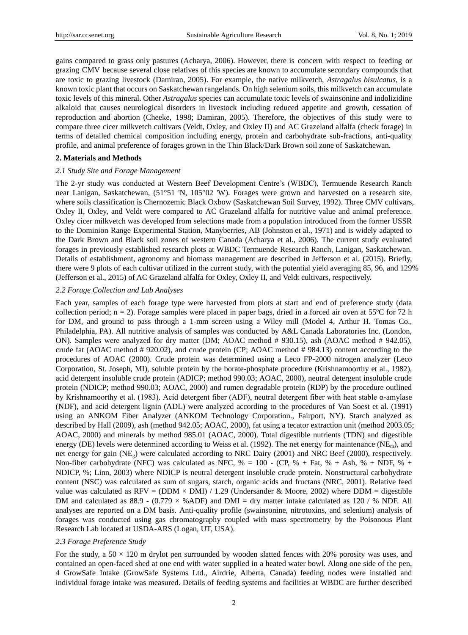gains compared to grass only pastures (Acharya, 2006). However, there is concern with respect to feeding or grazing CMV because several close relatives of this species are known to accumulate secondary compounds that are toxic to grazing livestock (Damiran, 2005). For example, the native milkvetch, *Astragalus bisulcatus*, is a known toxic plant that occurs on Saskatchewan rangelands. On high selenium soils, this milkvetch can accumulate toxic levels of this mineral. Other *Astragalus* species can accumulate toxic levels of swainsonine and indolizidine alkaloid that causes neurological disorders in livestock including reduced appetite and growth, cessation of reproduction and abortion (Cheeke, 1998; Damiran, 2005). Therefore, the objectives of this study were to compare three cicer milkvetch cultivars (Veldt, Oxley, and Oxley II) and AC Grazeland alfalfa (check forage) in terms of detailed chemical composition including energy, protein and carbohydrate sub-fractions, anti-quality profile, and animal preference of forages grown in the Thin Black/Dark Brown soil zone of Saskatchewan.

#### **2. Materials and Methods**

#### *2.1 Study Site and Forage Management*

The 2-yr study was conducted at Western Beef Development Centre"s (WBDC), Termuende Research Ranch near Lanigan, Saskatchewan, (51°51 'N, 105°02 'W). Forages were grown and harvested on a research site, where soils classification is Chernozemic Black Oxbow (Saskatchewan Soil Survey, 1992). Three CMV cultivars, Oxley II, Oxley, and Veldt were compared to AC Grazeland alfalfa for nutritive value and animal preference. Oxley cicer milkvetch was developed from selections made from a population introduced from the former USSR to the Dominion Range Experimental Station, Manyberries, AB (Johnston et al., 1971) and is widely adapted to the Dark Brown and Black soil zones of western Canada (Acharya et al., 2006). The current study evaluated forages in previously established research plots at WBDC Termuende Research Ranch, Lanigan, Saskatchewan. Details of establishment, agronomy and biomass management are described in Jefferson et al. (2015). Briefly, there were 9 plots of each cultivar utilized in the current study, with the potential yield averaging 85, 96, and 129% (Jefferson et al., 2015) of AC Grazeland alfalfa for Oxley, Oxley II, and Veldt cultivars, respectively.

#### *2.2 Forage Collection and Lab Analyses*

Each year, samples of each forage type were harvested from plots at start and end of preference study (data collection period;  $n = 2$ ). Forage samples were placed in paper bags, dried in a forced air oven at 55  $\degree$  C for 72 h for DM, and ground to pass through a 1-mm screen using a Wiley mill (Model 4, Arthur H. Tomas Co., Philadelphia, PA). All nutritive analysis of samples was conducted by A&L Canada Laboratories Inc. (London, ON). Samples were analyzed for dry matter (DM; AOAC method # 930.15), ash (AOAC method # 942.05), crude fat (AOAC method # 920.02), and crude protein (CP; AOAC method # 984.13) content according to the procedures of AOAC (2000). Crude protein was determined using a Leco FP-2000 nitrogen analyzer (Leco Corporation, St. Joseph, MI), soluble protein by the borate-phosphate procedure (Krishnamoorthy et al., 1982), acid detergent insoluble crude protein (ADICP; method 990.03; AOAC, 2000), neutral detergent insoluble crude protein (NDICP; method 990.03; AOAC, 2000) and rumen degradable protein (RDP) by the procedure outlined by Krishnamoorthy et al. (1983). Acid detergent fiber (ADF), neutral detergent fiber with heat stable α-amylase (NDF), and acid detergent lignin (ADL) were analyzed according to the procedures of Van Soest et al. (1991) using an ANKOM Fiber Analyzer (ANKOM Technology Corporation., Fairport, NY). Starch analyzed as described by Hall (2009), ash (method 942.05; AOAC, 2000), fat using a tecator extraction unit (method 2003.05; AOAC, 2000) and minerals by method 985.01 (AOAC, 2000). Total digestible nutrients (TDN) and digestible energy (DE) levels were determined according to Weiss et al. (1992). The net energy for maintenance ( $NE<sub>m</sub>$ ), and net energy for gain (NEg) were calculated according to NRC Dairy (2001) and NRC Beef (2000), respectively. Non-fiber carbohydrate (NFC) was calculated as NFC,  $% = 100 - (CP, % + Fat, % + Ash, % + NDF, % +$ NDICP, %; Linn, 2003) where NDICP is neutral detergent insoluble crude protein. Nonstructural carbohydrate content (NSC) was calculated as sum of sugars, starch, organic acids and fructans (NRC, 2001). Relative feed value was calculated as  $RFV = (DDM \times DMI) / 1.29$  (Undersander & Moore, 2002) where DDM = digestible DM and calculated as 88.9 -  $(0.779 \times %ADF)$  and DMI = dry matter intake calculated as 120 / % NDF. All analyses are reported on a DM basis. Anti-quality profile (swainsonine, nitrotoxins, and selenium) analysis of forages was conducted using gas chromatography coupled with mass spectrometry by the Poisonous Plant Research Lab located at USDA-ARS (Logan, UT, USA).

#### *2.3 Forage Preference Study*

For the study, a 50  $\times$  120 m drylot pen surrounded by wooden slatted fences with 20% porosity was uses, and contained an open-faced shed at one end with water supplied in a heated water bowl. Along one side of the pen, 4 GrowSafe Intake (GrowSafe Systems Ltd., Airdrie, Alberta, Canada) feeding nodes were installed and individual forage intake was measured. Details of feeding systems and facilities at WBDC are further described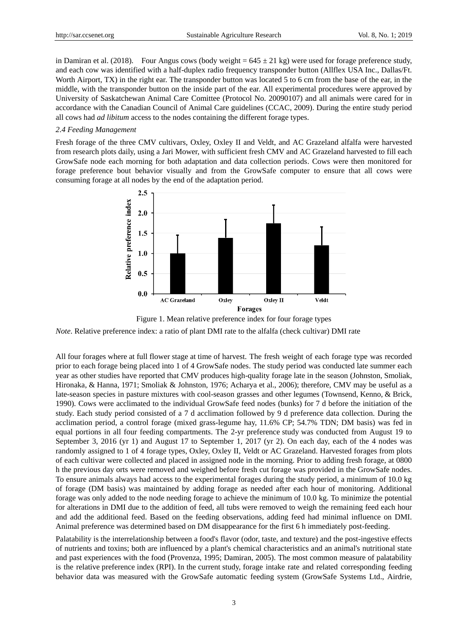in Damiran et al. (2018). Four Angus cows (body weight =  $645 \pm 21$  kg) were used for forage preference study, and each cow was identified with a half-duplex radio frequency transponder button (Allflex USA Inc., Dallas/Ft. Worth Airport, TX) in the right ear. The transponder button was located 5 to 6 cm from the base of the ear, in the middle, with the transponder button on the inside part of the ear. All experimental procedures were approved by University of Saskatchewan Animal Care Comittee (Protocol No. 20090107) and all animals were cared for in accordance with the Canadian Council of Animal Care guidelines (CCAC, 2009). During the entire study period all cows had *ad libitum* access to the nodes containing the different forage types.

#### *2.4 Feeding Management*

Fresh forage of the three CMV cultivars, Oxley, Oxley II and Veldt, and AC Grazeland alfalfa were harvested from research plots daily, using a Jari Mower, with sufficient fresh CMV and AC Grazeland harvested to fill each GrowSafe node each morning for both adaptation and data collection periods. Cows were then monitored for forage preference bout behavior visually and from the GrowSafe computer to ensure that all cows were consuming forage at all nodes by the end of the adaptation period.



Figure 1. Mean relative preference index for four forage types

*Note*. Relative preference index: a ratio of plant DMI rate to the alfalfa (check cultivar) DMI rate

All four forages where at full flower stage at time of harvest. The fresh weight of each forage type was recorded prior to each forage being placed into 1 of 4 GrowSafe nodes. The study period was conducted late summer each year as other studies have reported that CMV produces high-quality forage late in the season (Johnston, Smoliak, Hironaka, & Hanna, 1971; Smoliak & Johnston, 1976; Acharya et al., 2006); therefore, CMV may be useful as a late-season species in pasture mixtures with cool-season grasses and other legumes (Townsend, Kenno, & Brick, 1990). Cows were acclimated to the individual GrowSafe feed nodes (bunks) for 7 d before the initiation of the study. Each study period consisted of a 7 d acclimation followed by 9 d preference data collection. During the acclimation period, a control forage (mixed grass-legume hay, 11.6% CP; 54.7% TDN; DM basis) was fed in equal portions in all four feeding compartments. The 2-yr preference study was conducted from August 19 to September 3, 2016 (yr 1) and August 17 to September 1, 2017 (yr 2). On each day, each of the 4 nodes was randomly assigned to 1 of 4 forage types, Oxley, Oxley II, Veldt or AC Grazeland. Harvested forages from plots of each cultivar were collected and placed in assigned node in the morning. Prior to adding fresh forage, at 0800 h the previous day orts were removed and weighed before fresh cut forage was provided in the GrowSafe nodes. To ensure animals always had access to the experimental forages during the study period, a minimum of 10.0 kg of forage (DM basis) was maintained by adding forage as needed after each hour of monitoring. Additional forage was only added to the node needing forage to achieve the minimum of 10.0 kg. To minimize the potential for alterations in DMI due to the addition of feed, all tubs were removed to weigh the remaining feed each hour and add the additional feed. Based on the feeding observations, adding feed had minimal influence on DMI. Animal preference was determined based on DM disappearance for the first 6 h immediately post-feeding.

Palatability is the interrelationship between a food's flavor (odor, taste, and texture) and the post-ingestive effects of nutrients and toxins; both are influenced by a plant's chemical characteristics and an animal's nutritional state and past experiences with the food (Provenza, 1995; Damiran, 2005). The most common measure of palatability is the relative preference index (RPI). In the current study, forage intake rate and related corresponding feeding behavior data was measured with the GrowSafe automatic feeding system (GrowSafe Systems Ltd., Airdrie,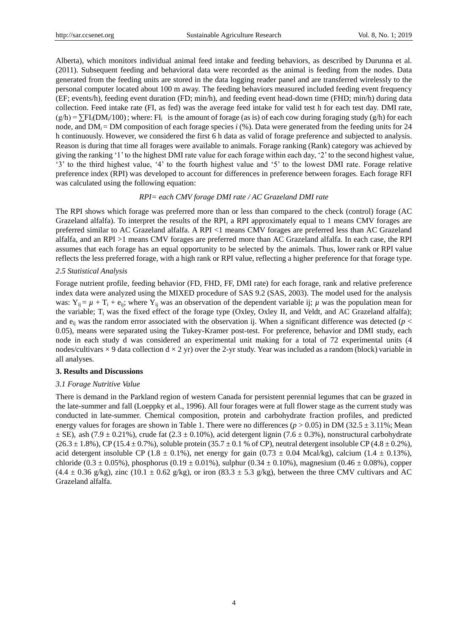Alberta), which monitors individual animal feed intake and feeding behaviors, as described by Durunna et al. (2011). Subsequent feeding and behavioral data were recorded as the animal is feeding from the nodes. Data generated from the feeding units are stored in the data logging reader panel and are transferred wirelessly to the personal computer located about 100 m away. The feeding behaviors measured included feeding event frequency (EF; events/h), feeding event duration (FD; min/h), and feeding event head-down time (FHD; min/h) during data collection. Feed intake rate (FI, as fed) was the average feed intake for valid test h for each test day. DMI rate,  $(g/h) = \sum F I_i (DM_i/100)$ ; where: FI<sub>i</sub> is the amount of forage (as is) of each cow during foraging study (g/h) for each node, and  $DM_i = DM$  composition of each forage species *i* (%). Data were generated from the feeding units for 24 h continuously. However, we considered the first 6 h data as valid of forage preference and subjected to analysis. Reason is during that time all forages were available to animals. Forage ranking (Rank) category was achieved by giving the ranking "1" to the highest DMI rate value for each forage within each day, "2" to the second highest value, "3" to the third highest value, "4" to the fourth highest value and "5" to the lowest DMI rate. Forage relative preference index (RPI) was developed to account for differences in preference between forages. Each forage RFI was calculated using the following equation:

#### *RPI= each CMV forage DMI rate / AC Grazeland DMI rate*

The RPI shows which forage was preferred more than or less than compared to the check (control) forage (AC Grazeland alfalfa). To interpret the results of the RPI, a RPI approximately equal to 1 means CMV forages are preferred similar to AC Grazeland alfalfa. A RPI <1 means CMV forages are preferred less than AC Grazeland alfalfa, and an RPI >1 means CMV forages are preferred more than AC Grazeland alfalfa. In each case, the RPI assumes that each forage has an equal opportunity to be selected by the animals. Thus, lower rank or RPI value reflects the less preferred forage, with a high rank or RPI value, reflecting a higher preference for that forage type.

#### *2.5 Statistical Analysis*

Forage nutrient profile, feeding behavior (FD, FHD, FF, DMI rate) for each forage, rank and relative preference index data were analyzed using the MIXED procedure of SAS 9.2 (SAS, 2003). The model used for the analysis was:  $Y_{ij} = \mu + T_i + e_{ij}$ ; where  $Y_{ij}$  was an observation of the dependent variable ij;  $\mu$  was the population mean for the variable; T<sub>i</sub> was the fixed effect of the forage type (Oxley, Oxley II, and Veldt, and AC Grazeland alfalfa); and  $e_{ii}$  was the random error associated with the observation ij. When a significant difference was detected ( $p <$ 0.05), means were separated using the Tukey-Kramer post-test. For preference, behavior and DMI study, each node in each study d was considered an experimental unit making for a total of 72 experimental units (4 nodes/cultivars  $\times$  9 data collection d  $\times$  2 yr) over the 2-yr study. Year was included as a random (block) variable in all analyses.

#### **3. Results and Discussions**

## *3.1 Forage Nutritive Value*

There is demand in the Parkland region of western Canada for persistent perennial legumes that can be grazed in the late-summer and fall (Loeppky et al., 1996). All four forages were at full flower stage as the current study was conducted in late-summer. Chemical composition, protein and carbohydrate fraction profiles, and predicted energy values for forages are shown in Table 1. There were no differences ( $p > 0.05$ ) in DM (32.5  $\pm 3.11\%$ ; Mean  $\pm$  SE), ash (7.9  $\pm$  0.21%), crude fat (2.3  $\pm$  0.10%), acid detergent lignin (7.6  $\pm$  0.3%), nonstructural carbohydrate  $(26.3 \pm 1.8\%)$ , CP (15.4  $\pm$  0.7%), soluble protein (35.7  $\pm$  0.1 % of CP), neutral detergent insoluble CP (4.8  $\pm$  0.2%), acid detergent insoluble CP (1.8  $\pm$  0.1%), net energy for gain (0.73  $\pm$  0.04 Mcal/kg), calcium (1.4  $\pm$  0.13%), chloride (0.3  $\pm$  0.05%), phosphorus (0.19  $\pm$  0.01%), sulphur (0.34  $\pm$  0.10%), magnesium (0.46  $\pm$  0.08%), copper  $(4.4 \pm 0.36 \text{ g/kg})$ , zinc  $(10.1 \pm 0.62 \text{ g/kg})$ , or iron  $(83.3 \pm 5.3 \text{ g/kg})$ , between the three CMV cultivars and AC Grazeland alfalfa.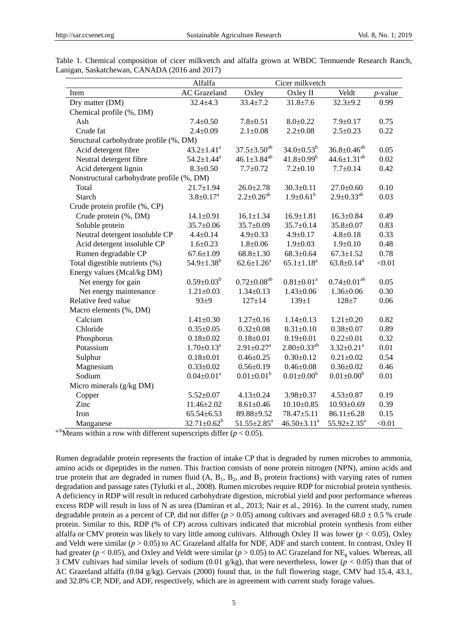|                                            | Alfalfa                      | Cicer milkvetch                  |                                           |                              |            |  |  |  |  |  |
|--------------------------------------------|------------------------------|----------------------------------|-------------------------------------------|------------------------------|------------|--|--|--|--|--|
| Item                                       | <b>AC</b> Grazeland          | Oxley II<br>Oxley                |                                           | Veldt                        | $p$ -value |  |  |  |  |  |
| Dry matter (DM)                            | $32.4 + 4.3$                 | $33.4 \pm 7.2$<br>$31.8 \pm 7.6$ |                                           | $32.3 + 9.2$                 | 0.99       |  |  |  |  |  |
| Chemical profile (%, DM)                   |                              |                                  |                                           |                              |            |  |  |  |  |  |
| Ash                                        | $7.4 \pm 0.50$               | $7.8 + 0.51$                     | $8.0 - 0.22$<br>$7.9 \pm 0.17$            |                              | 0.75       |  |  |  |  |  |
| Crude fat                                  | $2.4 \pm 0.09$               | $2.1 \pm 0.08$<br>$2.2 \pm 0.08$ |                                           | $2.5 \pm 0.23$               | 0.22       |  |  |  |  |  |
| Structural carbohydrate profile (%, DM)    |                              |                                  |                                           |                              |            |  |  |  |  |  |
| Acid detergent fibre                       | $43.2 \pm 1.41^a$            | $37.5 \pm 3.50^{ab}$             | $34.0 \pm 0.53^b$<br>$36.8 \pm 0.46^{ab}$ |                              |            |  |  |  |  |  |
| Neutral detergent fibre                    | $54.2 \pm 1.44$ <sup>a</sup> | $46.1 \pm 3.84^{ab}$             | $41.8 \pm 0.99^b$                         | $44.6 \pm 1.31^{ab}$         | 0.02       |  |  |  |  |  |
| Acid detergent lignin                      | $8.3 + 0.50$                 | $7.7 \pm 0.72$                   | $7.2 \pm 0.10$                            | $7.7 \pm 0.14$               | 0.42       |  |  |  |  |  |
| Nonstructural carbohydrate profile (%, DM) |                              |                                  |                                           |                              |            |  |  |  |  |  |
| Total                                      | $21.7 \pm 1.94$              | $26.0 \pm 2.78$                  | $30.3 \pm 0.11$                           | $27.0 \pm 0.60$              | 0.10       |  |  |  |  |  |
| <b>Starch</b>                              | $3.8 \pm 0.17$ <sup>a</sup>  | $2.2 \pm 0.26^{ab}$              | $1.9 \pm 0.61^b$                          | $2.9 \pm 0.33^{ab}$          | 0.03       |  |  |  |  |  |
| Crude protein profile (%, CP)              |                              |                                  |                                           |                              |            |  |  |  |  |  |
| Crude protein (%, DM)                      | $14.1 + 0.91$                | $16.1 \pm 1.34$                  | $16.9 \pm 1.81$                           | $16.3 + 0.84$                | 0.49       |  |  |  |  |  |
| Soluble protein                            | $35.7 \pm 0.06$              | $35.7 \pm 0.09$                  | $35.7 + 0.14$                             | $35.8 \pm 0.07$              | 0.83       |  |  |  |  |  |
| Neutral detergent insoluble CP             | $4.4 \pm 0.14$               | $4.9 + 0.33$                     | $4.9 + 0.17$                              | $4.8 + 0.18$                 | 0.33       |  |  |  |  |  |
| Acid detergent insoluble CP                | $1.6 + 0.23$                 | $1.8 + 0.06$                     | $1.9 + 0.03$                              | $1.9 + 0.10$                 | 0.48       |  |  |  |  |  |
| Rumen degradable CP                        | $67.6 \pm 1.09$              | $68.8 \pm 1.30$                  | $68.3 + 0.64$                             | $67.3 \pm 1.52$              | 0.78       |  |  |  |  |  |
| Total digestible nutrients (%)             | $54.9 \pm 1.38^b$            | $62.6 \pm 1.26^a$                | $65.1 \pm 1.18^a$                         | $63.8 \pm 0.14^a$            | < 0.01     |  |  |  |  |  |
| Energy values (Mcal/kg DM)                 |                              |                                  |                                           |                              |            |  |  |  |  |  |
| Net energy for gain                        | $0.59 \pm 0.03^b$            | $0.72 \pm 0.08$ <sup>ab</sup>    | $0.81 \pm 0.01^a$                         | $0.74 \pm 0.01^{ab}$         | 0.05       |  |  |  |  |  |
| Net energy maintenance                     | $1.21 + 0.03$                | $1.34 + 0.13$                    | $1.43 + 0.06$                             | $1.36 + 0.06$                | 0.30       |  |  |  |  |  |
| Relative feed value                        | $93 + 9$                     | $127 + 14$                       | $139 + 1$                                 | $128 + 7$                    | 0.06       |  |  |  |  |  |
| Macro elements (%, DM)                     |                              |                                  |                                           |                              |            |  |  |  |  |  |
| Calcium                                    | $1.41 + 0.30$                | $1.27 \pm 0.16$                  | $1.14 \pm 0.13$                           | $1.21 + 0.20$                | 0.82       |  |  |  |  |  |
| Chloride                                   | $0.35 + 0.05$                | $0.32 + 0.08$                    | $0.31 + 0.10$                             | $0.38 + 0.07$                | 0.89       |  |  |  |  |  |
| Phosphorus                                 | $0.18 + 0.02$                | $0.18 - 0.01$                    | $0.19 + 0.01$                             | $0.22 \pm 0.01$              | 0.32       |  |  |  |  |  |
| Potassium                                  | $1.70 \pm 0.13^a$            | $2.91 \pm 0.27$ <sup>a</sup>     | $2.80 \pm 0.33$ <sup>ab</sup>             | $3.32 \pm 0.21$ <sup>a</sup> | 0.01       |  |  |  |  |  |
| Sulphur                                    | $0.18 + 0.01$                | $0.46 - 0.25$                    | $0.30 - 0.12$                             | $0.21 + 0.02$                | 0.54       |  |  |  |  |  |
| Magnesium                                  | $0.33 + 0.02$                | $0.56 - 0.19$                    | $0.46 + 0.08$                             | $0.36 - 0.02$                | 0.46       |  |  |  |  |  |
| Sodium                                     | $0.04 \pm 0.01^a$            | $0.01 \pm 0.01^b$                | $0.01 \pm 0.00^b$                         | $0.01 \pm 0.00^b$            | 0.01       |  |  |  |  |  |
| Micro minerals (g/kg DM)                   |                              |                                  |                                           |                              |            |  |  |  |  |  |
| Copper                                     | $5.52 + 0.07$                | $4.13 \pm 0.24$                  | $3.98 + 0.37$                             | $4.53 + 0.87$                | 0.19       |  |  |  |  |  |
| Zinc                                       | $11.46 \pm 2.02$             | $8.61 + 0.46$                    | $10.10 + 0.85$                            | $10.93 \pm 0.69$             | 0.39       |  |  |  |  |  |
| Iron                                       | $65.54 \pm 6.53$             | 89.88±9.52                       | $78.47 + 5.11$                            | $86.11 \pm 6.28$             | 0.15       |  |  |  |  |  |
| Manganese                                  | $32.71 \pm 0.62^b$           | $51.55 \pm 2.85^a$               | $46.50 \pm 3.11^a$                        | $55.92 \pm 2.35^a$           | < 0.01     |  |  |  |  |  |

Table 1. Chemical composition of cicer milkvetch and alfalfa grown at WBDC Termuende Research Ranch, Lanigan, Saskatchewan, CANADA (2016 and 2017)

<sup>a-b</sup>Means within a row with different superscripts differ ( $p < 0.05$ ).

Rumen degradable protein represents the fraction of intake CP that is degraded by rumen microbes to ammonia, amino acids or dipeptides in the rumen. This fraction consists of none protein nitrogen (NPN), amino acids and true protein that are degraded in rumen fluid  $(A, B<sub>1</sub>, B<sub>2</sub>, and B<sub>3</sub> protein fractions)$  with varying rates of rumen degradation and passage rates (Tylutki et al., 2008). Rumen microbes require RDP for microbial protein synthesis. A deficiency in RDP will result in reduced carbohydrate digestion, microbial yield and poor performance whereas excess RDP will result in loss of N as urea (Damiran et al., 2013; Nair et al., 2016). In the current study, rumen degradable protein as a percent of CP, did not differ (*p* > 0.05) among cultivars and averaged 68.0 ± 0.5 % crude protein. Similar to this, RDP (% of CP) across cultivars indicated that microbial protein synthesis from either alfalfa or CMV protein was likely to vary little among cultivars. Although Oxley II was lower (*p* < 0.05), Oxley and Veldt were similar (*p* > 0.05) to AC Grazeland alfalfa for NDF, ADF and starch content. In contrast, Oxley II had greater ( $p < 0.05$ ), and Oxley and Veldt were similar ( $p > 0.05$ ) to AC Grazeland for NE<sub>g</sub> values. Whereas, all 3 CMV cultivars had similar levels of sodium (0.01 g/kg), that were nevertheless, lower (*p* < 0.05) than that of AC Grazeland alfalfa (0.04 g/kg). Gervais (2000) found that, in the full flowering stage, CMV had 15.4, 43.1, and 32.8% CP, NDF, and ADF, respectively, which are in agreement with current study forage values.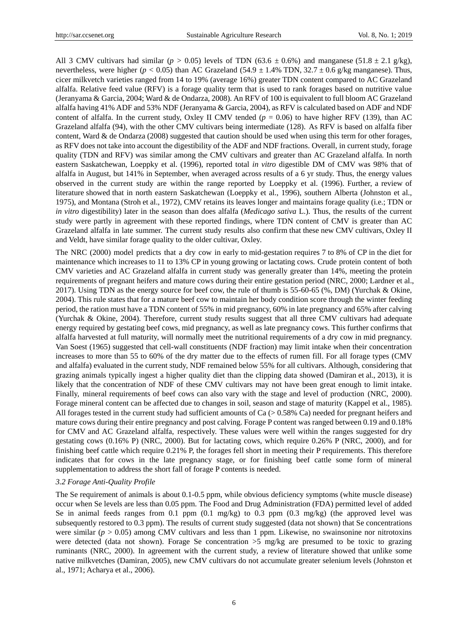All 3 CMV cultivars had similar ( $p > 0.05$ ) levels of TDN (63.6  $\pm 0.6\%$ ) and manganese (51.8  $\pm 2.1$  g/kg), nevertheless, were higher ( $p < 0.05$ ) than AC Grazeland (54.9  $\pm$ 1.4% TDN, 32.7  $\pm$ 0.6 g/kg manganese). Thus, cicer milkvetch varieties ranged from 14 to 19% (average 16%) greater TDN content compared to AC Grazeland alfalfa. Relative feed value (RFV) is a forage quality term that is used to rank forages based on nutritive value (Jeranyama & Garcia, 2004; Ward & de Ondarza, 2008). An RFV of 100 is equivalent to full bloom AC Grazeland alfalfa having 41% ADF and 53% NDF (Jeranyama & Garcia, 2004), as RFV is calculated based on ADF and NDF content of alfalfa. In the current study, Oxley II CMV tended ( $p = 0.06$ ) to have higher RFV (139), than AC Grazeland alfalfa (94), with the other CMV cultivars being intermediate (128). As RFV is based on alfalfa fiber content, Ward & de Ondarza (2008) suggested that caution should be used when using this term for other forages, as RFV does not take into account the digestibility of the ADF and NDF fractions. Overall, in current study, forage quality (TDN and RFV) was similar among the CMV cultivars and greater than AC Grazeland alfalfa. In north eastern Saskatchewan, Loeppky et al. (1996), reported total *in vitro* digestible DM of CMV was 98% that of alfalfa in August, but 141% in September, when averaged across results of a 6 yr study. Thus, the energy values observed in the current study are within the range reported by Loeppky et al. (1996). Further, a review of literature showed that in north eastern Saskatchewan (Loeppky et al., 1996), southern Alberta (Johnston et al., 1975), and Montana (Stroh et al., 1972), CMV retains its leaves longer and maintains forage quality (i.e.; TDN or *in vitro* digestibility) later in the season than does alfalfa (*Medicago sativa* L.). Thus, the results of the current study were partly in agreement with these reported findings, where TDN content of CMV is greater than AC Grazeland alfalfa in late summer. The current study results also confirm that these new CMV cultivars, Oxley II and Veldt, have similar forage quality to the older cultivar, Oxley.

The NRC (2000) model predicts that a dry cow in early to mid-gestation requires 7 to 8% of CP in the diet for maintenance which increases to 11 to 13% CP in young growing or lactating cows. Crude protein content of both CMV varieties and AC Grazeland alfalfa in current study was generally greater than 14%, meeting the protein requirements of pregnant heifers and mature cows during their entire gestation period (NRC, 2000; Lardner et al., 2017). Using TDN as the energy source for beef cow, the rule of thumb is 55-60-65 (%, DM) (Yurchak & Okine, 2004). This rule states that for a mature beef cow to maintain her body condition score through the winter feeding period, the ration must have a TDN content of 55% in mid pregnancy, 60% in late pregnancy and 65% after calving (Yurchak & Okine, 2004). Therefore, current study results suggest that all three CMV cultivars had adequate energy required by gestating beef cows, mid pregnancy, as well as late pregnancy cows. This further confirms that alfalfa harvested at full maturity, will normally meet the nutritional requirements of a dry cow in mid pregnancy. Van Soest (1965) suggested that cell-wall constituents (NDF fraction) may limit intake when their concentration increases to more than 55 to 60% of the dry matter due to the effects of rumen fill. For all forage types (CMV and alfalfa) evaluated in the current study, NDF remained below 55% for all cultivars. Although, considering that grazing animals typically ingest a higher quality diet than the clipping data showed (Damiran et al., 2013), it is likely that the concentration of NDF of these CMV cultivars may not have been great enough to limit intake. Finally, mineral requirements of beef cows can also vary with the stage and level of production (NRC, 2000). Forage mineral content can be affected due to changes in soil, season and stage of maturity (Kappel et al., 1985). All forages tested in the current study had sufficient amounts of Ca  $(> 0.58\%)$  Ca) needed for pregnant heifers and mature cows during their entire pregnancy and post calving. Forage P content was ranged between 0.19 and 0.18% for CMV and AC Grazeland alfalfa, respectively. These values were well within the ranges suggested for dry gestating cows (0.16% P) (NRC, 2000). But for lactating cows, which require 0.26% P (NRC, 2000), and for finishing beef cattle which require 0.21% P, the forages fell short in meeting their P requirements. This therefore indicates that for cows in the late pregnancy stage, or for finishing beef cattle some form of mineral supplementation to address the short fall of forage P contents is needed.

### *3.2 Forage Anti-Quality Profile*

The Se requirement of animals is about 0.1-0.5 ppm, while obvious deficiency symptoms (white muscle disease) occur when Se levels are less than 0.05 ppm. The Food and Drug Administration (FDA) permitted level of added Se in animal feeds ranges from 0.1 ppm (0.1 mg/kg) to 0.3 ppm (0.3 mg/kg) (the approved level was subsequently restored to 0.3 ppm). The results of current study suggested (data not shown) that Se concentrations were similar (*p* > 0.05) among CMV cultivars and less than 1 ppm. Likewise, no swainsonine nor nitrotoxins were detected (data not shown). Forage Se concentration >5 mg/kg are presumed to be toxic to grazing ruminants (NRC, 2000). In agreement with the current study, a review of literature showed that unlike some native milkvetches (Damiran, 2005), new CMV cultivars do not accumulate greater selenium levels (Johnston et al., 1971; Acharya et al., 2006).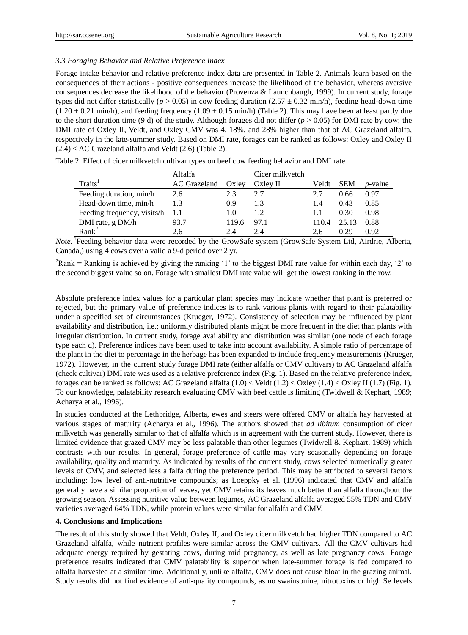## *3.3 Foraging Behavior and Relative Preference Index*

Forage intake behavior and relative preference index data are presented in Table 2. Animals learn based on the consequences of their actions - positive consequences increase the likelihood of the behavior, whereas aversive consequences decrease the likelihood of the behavior (Provenza & Launchbaugh, 1999). In current study, forage types did not differ statistically ( $p > 0.05$ ) in cow feeding duration (2.57  $\pm$  0.32 min/h), feeding head-down time  $(1.20 \pm 0.21 \text{ min/h})$ , and feeding frequency  $(1.09 \pm 0.15 \text{ min/h})$  (Table 2). This may have been at least partly due to the short duration time (9 d) of the study. Although forages did not differ ( $p > 0.05$ ) for DMI rate by cow; the DMI rate of Oxley II, Veldt, and Oxley CMV was 4, 18%, and 28% higher than that of AC Grazeland alfalfa, respectively in the late-summer study. Based on DMI rate, forages can be ranked as follows: Oxley and Oxley II (2.4) < AC Grazeland alfalfa and Veldt (2.6) (Table 2).

|                             | Alfalfa      |       | Cicer milkvetch |       |            |            |
|-----------------------------|--------------|-------|-----------------|-------|------------|------------|
| Traits <sup>1</sup>         | AC Grazeland | Oxley | Oxley II        | Veldt | <b>SEM</b> | $p$ -value |
| Feeding duration, min/h     | 2.6          | 2.3   | 2.7             |       | 0.66       | 0.97       |
| Head-down time, min/h       | 1.3          | 0.9   | 1.3             | 1.4   | 0.43       | 0.85       |
| Feeding frequency, visits/h |              | 1.0   | 1.2             |       | 0.30       | 0.98       |
| DMI rate, g DM/h            | 93.7         | 119.6 | 97.1            | 110.4 | 25.13      | 0.88       |
| Rank <sup>2</sup>           | 2.6          | 2.4   | 7 4             | 2.6   | 0.29       | 0.92       |

Table 2. Effect of cicer milkvetch cultivar types on beef cow feeding behavior and DMI rate

Note.<sup>1</sup> Feeding behavior data were recorded by the GrowSafe system (GrowSafe System Ltd, Airdrie, Alberta, Canada,) using 4 cows over a valid a 9-d period over 2 yr.

<sup>2</sup>Rank = Ranking is achieved by giving the ranking '1' to the biggest DMI rate value for within each day, '2' to the second biggest value so on. Forage with smallest DMI rate value will get the lowest ranking in the row.

Absolute preference index values for a particular plant species may indicate whether that plant is preferred or rejected, but the primary value of preference indices is to rank various plants with regard to their palatability under a specified set of circumstances (Krueger, 1972). Consistency of selection may be influenced by plant availability and distribution, i.e.; uniformly distributed plants might be more frequent in the diet than plants with irregular distribution. In current study, forage availability and distribution was similar (one node of each forage type each d). Preference indices have been used to take into account availability. A simple ratio of percentage of the plant in the diet to percentage in the herbage has been expanded to include frequency measurements (Krueger, 1972). However, in the current study forage DMI rate (either alfalfa or CMV cultivars) to AC Grazeland alfalfa (check cultivar) DMI rate was used as a relative preference index (Fig. 1). Based on the relative preference index, forages can be ranked as follows: AC Grazeland alfalfa  $(1.0) <$  Veldt  $(1.2) <$  Oxley  $(1.4) <$  Oxley II  $(1.7)$  (Fig. 1). To our knowledge, palatability research evaluating CMV with beef cattle is limiting (Twidwell & Kephart, 1989; Acharya et al., 1996).

In studies conducted at the Lethbridge, Alberta, ewes and steers were offered CMV or alfalfa hay harvested at various stages of maturity (Acharya et al., 1996). The authors showed that *ad libitum* consumption of cicer milkvetch was generally similar to that of alfalfa which is in agreement with the current study. However, there is limited evidence that grazed CMV may be less palatable than other legumes (Twidwell & Kephart, 1989) which contrasts with our results. In general, forage preference of cattle may vary seasonally depending on forage availability, quality and maturity. As indicated by results of the current study, cows selected numerically greater levels of CMV, and selected less alfalfa during the preference period. This may be attributed to several factors including: low level of anti-nutritive compounds; as Loeppky et al. (1996) indicated that CMV and alfalfa generally have a similar proportion of leaves, yet CMV retains its leaves much better than alfalfa throughout the growing season. Assessing nutritive value between legumes, AC Grazeland alfalfa averaged 55% TDN and CMV varieties averaged 64% TDN, while protein values were similar for alfalfa and CMV.

#### **4. Conclusions and Implications**

The result of this study showed that Veldt, Oxley II, and Oxley cicer milkvetch had higher TDN compared to AC Grazeland alfalfa, while nutrient profiles were similar across the CMV cultivars. All the CMV cultivars had adequate energy required by gestating cows, during mid pregnancy, as well as late pregnancy cows. Forage preference results indicated that CMV palatability is superior when late-summer forage is fed compared to alfalfa harvested at a similar time. Additionally, unlike alfalfa, CMV does not cause bloat in the grazing animal. Study results did not find evidence of anti-quality compounds, as no swainsonine, nitrotoxins or high Se levels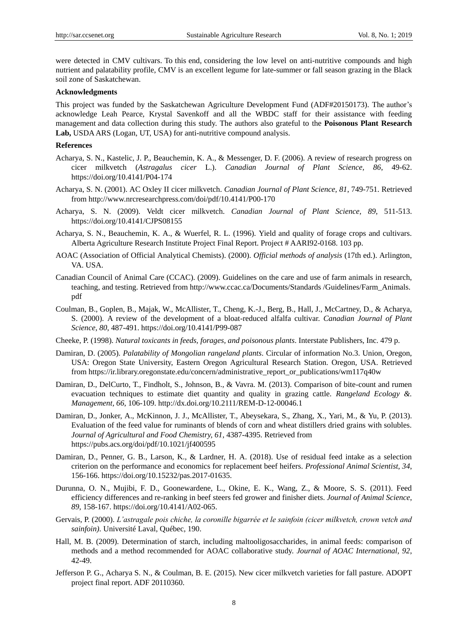were detected in CMV cultivars. To this end, considering the low level on anti-nutritive compounds and high nutrient and palatability profile, CMV is an excellent legume for late-summer or fall season grazing in the Black soil zone of Saskatchewan.

### **Acknowledgments**

This project was funded by the Saskatchewan Agriculture Development Fund (ADF#20150173). The author"s acknowledge Leah Pearce, Krystal Savenkoff and all the WBDC staff for their assistance with feeding management and data collection during this study. The authors also grateful to the **Poisonous Plant Research**  Lab, USDA ARS (Logan, UT, USA) for anti-nutritive compound analysis.

## **References**

- Acharya, S. N., Kastelic, J. P., Beauchemin, K. A., & Messenger, D. F. (2006). A review of research progress on cicer milkvetch (*Astragalus cicer* L.). *Canadian Journal of Plant Science, 86*, 49-62. https://doi.org/10.4141/P04-174
- Acharya, S. N. (2001). AC Oxley II cicer milkvetch. *Canadian Journal of Plant Science, 81*, 749-751. Retrieved from http://www.nrcresearchpress.com/doi/pdf/10.4141/P00-170
- Acharya, S. N. (2009). Veldt cicer milkvetch. *Canadian Journal of Plant Science, 89*, 511-513. https://doi.org/10.4141/CJPS08155
- Acharya, S. N., Beauchemin, K. A., & Wuerfel, R. L. (1996). Yield and quality of forage crops and cultivars. Alberta Agriculture Research Institute Project Final Report. Project # AARI92-0168. 103 pp.
- AOAC (Association of Official Analytical Chemists). (2000). *Official methods of analysis* (17th ed.). Arlington, VA. USA.
- Canadian Council of Animal Care (CCAC). (2009). Guidelines on the care and use of farm animals in research, teaching, and testing. Retrieved from [http://www.ccac.ca/Documents/Standards /Guidelines/F](http://www.ccac.ca/Documents/Standards%20/Guidelines/)arm\_Animals. pdf
- Coulman, B., Goplen, B., Majak, W., McAllister, T., Cheng, K.-J., Berg, B., Hall, J., McCartney, D., & Acharya, S. (2000). A review of the development of a bloat-reduced alfalfa cultivar. *Canadian Journal of Plant Science*, *80*, 487-491. https://doi.org/10.4141/P99-087
- Cheeke, P. (1998). *Natural toxicants in feeds, forages, and poisonous plants*. Interstate Publishers, Inc. 479 p.
- Damiran, D. (2005). *Palatability of Mongolian rangeland plants*. Circular of information No.3. Union, Oregon, USA: Oregon State University, Eastern Oregon Agricultural Research Station. Oregon, USA. Retrieved from https://ir.library.oregonstate.edu/concern/administrative\_report\_or\_publications/wm117q40w
- Damiran, D., DelCurto, T., Findholt, S., Johnson, B., & Vavra. M. (2013). Comparison of bite-count and rumen evacuation techniques to estimate diet quantity and quality in grazing cattle. *Rangeland Ecology &. Management, 66*, 106-109. http://dx.doi.org/10.2111/REM-D-12-00046.1
- Damiran, D., Jonker, A., McKinnon, J. J., McAllister, T., Abeysekara, S., Zhang, X., Yari, M., & Yu, P. (2013). Evaluation of the feed value for ruminants of blends of corn and wheat distillers dried grains with solubles. *Journal of Agricultural and Food Chemistry, 61*, 4387-4395. Retrieved from https://pubs.acs.org/doi/pdf/10.1021/jf400595
- Damiran, D., Penner, G. B., Larson, K., & Lardner, H. A. (2018). Use of residual feed intake as a selection criterion on the performance and economics for replacement beef heifers. *Professional Animal Scientist*, *34*, 156-166. https://doi.org/10.15232/pas.2017-01635.
- Durunna, O. N., Mujibi, F. D., Goonewardene, L., Okine, E. K., Wang, Z., & Moore, S. S. (2011). Feed efficiency differences and re-ranking in beef steers fed grower and finisher diets. *Journal of Animal Science*, *89*, 158-167. https://doi.org/10.4141/A02-065.
- Gervais, P. (2000). *L'astragale pois chiche, la coronille bigarrée et le sainfoin (cicer milkvetch, crown vetch and sainfoin)*. Université Laval, Québec, 190.
- Hall, M. B. (2009). Determination of starch, including maltooligosaccharides, in animal feeds: comparison of methods and a method recommended for AOAC collaborative study. *Journal of AOAC International, 92*, 42-49.
- Jefferson P. G., Acharya S. N., & Coulman, B. E. (2015). New cicer milkvetch varieties for fall pasture. ADOPT project final report. ADF 20110360.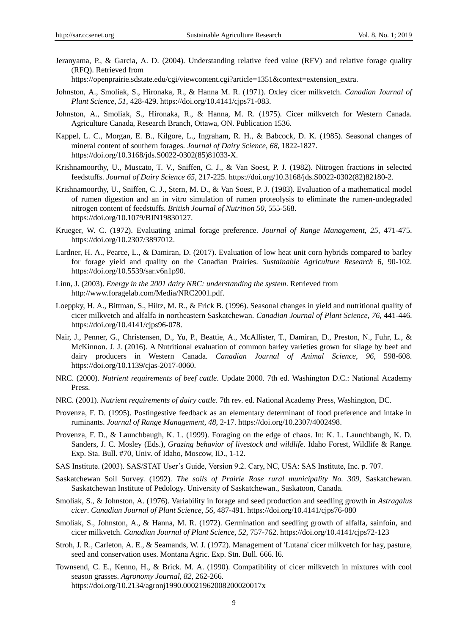Jeranyama, P., & Garcia, A. D. (2004). Understanding relative feed value (RFV) and relative forage quality (RFQ). Retrieved from

https://openprairie.sdstate.edu/cgi/viewcontent.cgi?article=1351&context=extension\_extra.

- Johnston, A., Smoliak, S., Hironaka, R., & Hanna M. R. (1971). Oxley cicer milkvetch. *Canadian Journal of Plant Science*, *51*, 428-429. https://doi.org/10.4141/cjps71-083.
- Johnston, A., Smoliak, S., Hironaka, R., & Hanna, M. R. (1975). Cicer milkvetch for Western Canada. Agriculture Canada, Research Branch, Ottawa, ON. Publication 1536.
- Kappel, L. C., Morgan, E. B., Kilgore, L., Ingraham, R. H., & Babcock, D. K. (1985). Seasonal changes of mineral content of southern forages. *Journal of Dairy Science*, *68*, 1822-1827. https://doi.org/10.3168/jds.S0022-0302(85)81033-X.
- Krishnamoorthy, U., Muscato, T. V., Sniffen, C. J., & Van Soest, P. J. (1982). Nitrogen fractions in selected feedstuffs. *Journal of Dairy Science 65*, 217-225. https://doi.org/10.3168/jds.S0022-0302(82)82180-2.
- Krishnamoorthy, U., Sniffen, C. J., Stern, M. D., & Van Soest, P. J. (1983). Evaluation of a mathematical model of rumen digestion and an in vitro simulation of rumen proteolysis to eliminate the rumen-undegraded nitrogen content of feedstuffs. *British Journal of Nutrition 50*, 555-568. https://doi.org/10.1079/BJN19830127.
- Krueger, W. C. (1972). Evaluating animal forage preference. *Journal of Range Management, 25*, 471-475. https://doi.org/10.2307/3897012.
- Lardner, H. A., Pearce, L., & Damiran, D. (2017). Evaluation of low heat unit corn hybrids compared to barley for forage yield and quality on the Canadian Prairies. *Sustainable Agriculture Research* 6, 90-102. https://doi.org/10.5539/sar.v6n1p90.
- Linn, J. (2003). *Energy in the 2001 dairy NRC: understanding the system*. Retrieved from http://www.foragelab.com/Media/NRC2001.pdf.
- Loeppky, H. A., Bittman, S., Hiltz, M. R., & Frick B. (1996). Seasonal changes in yield and nutritional quality of cicer milkvetch and alfalfa in northeastern Saskatchewan. *Canadian Journal of Plant Science, 76*, 441-446. https://doi.org/10.4141/cjps96-078.
- Nair, J., Penner, G., Christensen, D., Yu, P., Beattie, A., McAllister, T., Damiran, D., Preston, N., Fuhr, L., & McKinnon. J. J. (2016). A Nutritional evaluation of common barley varieties grown for silage by beef and dairy producers in Western Canada. *Canadian Journal of Animal Science*, *96*, 598-608. https://doi.org/10.1139/cjas-2017-0060.
- NRC. (2000). *Nutrient requirements of beef cattle*. Update 2000. 7th ed. Washington D.C.: National Academy Press.
- NRC. (2001). *Nutrient requirements of dairy cattle*. 7th rev. ed. National Academy Press, Washington, DC.
- Provenza, F. D. (1995). Postingestive feedback as an elementary determinant of food preference and intake in ruminants. *Journal of Range Management, 48,* 2-17. https://doi.org/10.2307/4002498.
- Provenza, F. D., & Launchbaugh, K. L. (1999). Foraging on the edge of chaos. In: K. L. Launchbaugh, K. D. Sanders, J. C. Mosley (Eds.), *Grazing behavior of livestock and wildlife*. Idaho Forest, Wildlife & Range. Exp. Sta. Bull. #70, Univ. of Idaho, Moscow, ID., 1-12.
- SAS Institute. (2003). SAS/STAT User"s Guide, Version 9.2. Cary, NC, USA: SAS Institute, Inc. p. 707.
- Saskatchewan Soil Survey. (1992). *The soils of Prairie Rose rural municipality No. 309*, Saskatchewan. Saskatchewan Institute of Pedology. University of Saskatchewan., Saskatoon, Canada.
- Smoliak, S., & Johnston, A. (1976). Variability in forage and seed production and seedling growth in *Astragalus cicer*. *Canadian Journal of Plant Science*, *56*, 487-491. https://doi.org/10.4141/cjps76-080
- Smoliak, S., Johnston, A., & Hanna, M. R. (1972). Germination and seedling growth of alfalfa, sainfoin, and cicer milkvetch. *Canadian Journal of Plant Science, 52*, 757-762. https://doi.org/10.4141/cjps72-123
- Stroh, J. R., Carleton, A. E., & Seamands, W. J. (1972). Management of 'Lutana' cicer milkvetch for hay, pasture, seed and conservation uses. Montana Agric. Exp. Stn. Bull. 666. l6.
- Townsend, C. E., Kenno, H., & Brick. M. A. (1990). Compatibility of cicer milkvetch in mixtures with cool season grasses. *Agronomy Journal*, *82*, 262-266. https://doi.org/10.2134/agronj1990.00021962008200020017x